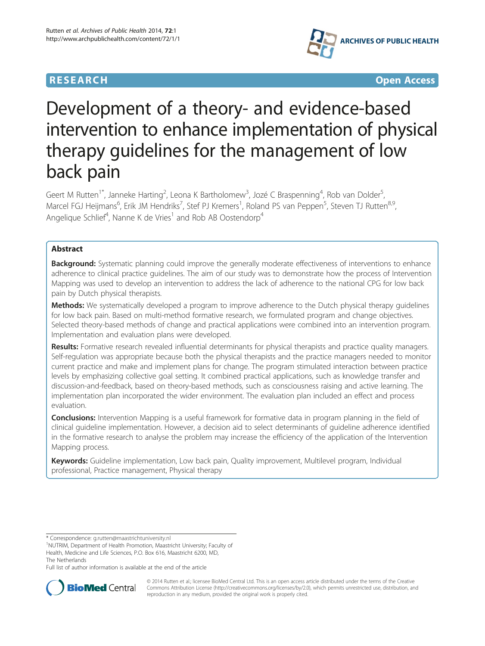



# Development of a theory- and evidence-based intervention to enhance implementation of physical therapy guidelines for the management of low back pain

Geert M Rutten<sup>1\*</sup>, Janneke Harting<sup>2</sup>, Leona K Bartholomew<sup>3</sup>, Jozé C Braspenning<sup>4</sup>, Rob van Dolder<sup>5</sup> , Marcel FGJ Heijmans<sup>6</sup>, Erik JM Hendriks<sup>7</sup>, Stef PJ Kremers<sup>1</sup>, Roland PS van Peppen<sup>5</sup>, Steven TJ Rutten<sup>8,9</sup>, Angelique Schlief<sup>4</sup>, Nanne K de Vries<sup>1</sup> and Rob AB Oostendorp<sup>4</sup>

# Abstract

Background: Systematic planning could improve the generally moderate effectiveness of interventions to enhance adherence to clinical practice guidelines. The aim of our study was to demonstrate how the process of Intervention Mapping was used to develop an intervention to address the lack of adherence to the national CPG for low back pain by Dutch physical therapists.

**Methods:** We systematically developed a program to improve adherence to the Dutch physical therapy guidelines for low back pain. Based on multi-method formative research, we formulated program and change objectives. Selected theory-based methods of change and practical applications were combined into an intervention program. Implementation and evaluation plans were developed.

Results: Formative research revealed influential determinants for physical therapists and practice quality managers. Self-regulation was appropriate because both the physical therapists and the practice managers needed to monitor current practice and make and implement plans for change. The program stimulated interaction between practice levels by emphasizing collective goal setting. It combined practical applications, such as knowledge transfer and discussion-and-feedback, based on theory-based methods, such as consciousness raising and active learning. The implementation plan incorporated the wider environment. The evaluation plan included an effect and process evaluation.

**Conclusions:** Intervention Mapping is a useful framework for formative data in program planning in the field of clinical guideline implementation. However, a decision aid to select determinants of guideline adherence identified in the formative research to analyse the problem may increase the efficiency of the application of the Intervention Mapping process.

Keywords: Guideline implementation, Low back pain, Quality improvement, Multilevel program, Individual professional, Practice management, Physical therapy

\* Correspondence: [g.rutten@maastrichtuniversity.nl](mailto:g.rutten@maastrichtuniversity.nl) <sup>1</sup>

Full list of author information is available at the end of the article



© 2014 Rutten et al.; licensee BioMed Central Ltd. This is an open access article distributed under the terms of the Creative Commons Attribution License [\(http://creativecommons.org/licenses/by/2.0\)](http://creativecommons.org/licenses/by/2.0), which permits unrestricted use, distribution, and reproduction in any medium, provided the original work is properly cited.

<sup>&</sup>lt;sup>1</sup>NUTRIM, Department of Health Promotion, Maastricht University; Faculty of Health, Medicine and Life Sciences, P.O. Box 616, Maastricht 6200, MD, The Netherlands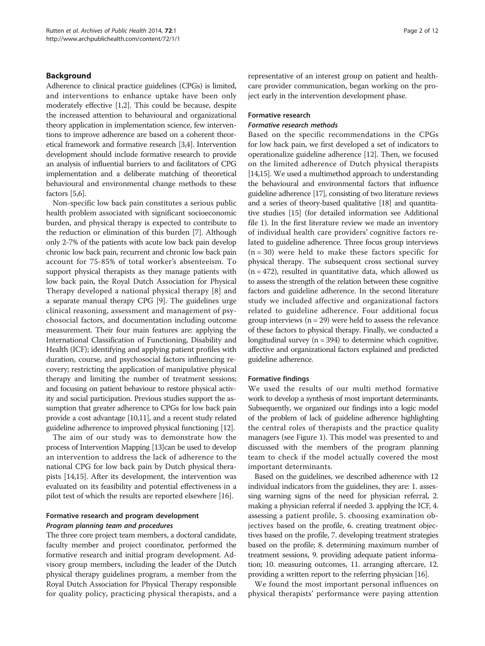## Background

Adherence to clinical practice guidelines (CPGs) is limited, and interventions to enhance uptake have been only moderately effective [[1,2](#page-10-0)]. This could be because, despite the increased attention to behavioural and organizational theory application in implementation science, few interventions to improve adherence are based on a coherent theoretical framework and formative research [\[3](#page-10-0)[,4\]](#page-11-0). Intervention development should include formative research to provide an analysis of influential barriers to and facilitators of CPG implementation and a deliberate matching of theoretical behavioural and environmental change methods to these factors [\[5,6\]](#page-11-0).

Non-specific low back pain constitutes a serious public health problem associated with significant socioeconomic burden, and physical therapy is expected to contribute to the reduction or elimination of this burden [\[7](#page-11-0)]. Although only 2-7% of the patients with acute low back pain develop chronic low back pain, recurrent and chronic low back pain account for 75-85% of total worker's absenteeism. To support physical therapists as they manage patients with low back pain, the Royal Dutch Association for Physical Therapy developed a national physical therapy [\[8](#page-11-0)] and a separate manual therapy CPG [\[9](#page-11-0)]. The guidelines urge clinical reasoning, assessment and management of psychosocial factors, and documentation including outcome measurement. Their four main features are: applying the International Classification of Functioning, Disability and Health (ICF); identifying and applying patient profiles with duration, course, and psychosocial factors influencing recovery; restricting the application of manipulative physical therapy and limiting the number of treatment sessions; and focusing on patient behaviour to restore physical activity and social participation. Previous studies support the assumption that greater adherence to CPGs for low back pain provide a cost advantage [\[10,11](#page-11-0)], and a recent study related guideline adherence to improved physical functioning [\[12\]](#page-11-0).

The aim of our study was to demonstrate how the process of Intervention Mapping [\[13\]](#page-11-0)can be used to develop an intervention to address the lack of adherence to the national CPG for low back pain by Dutch physical therapists [[14,15\]](#page-11-0). After its development, the intervention was evaluated on its feasibility and potential effectiveness in a pilot test of which the results are reported elsewhere [[16](#page-11-0)].

## Formative research and program development Program planning team and procedures

The three core project team members, a doctoral candidate, faculty member and project coordinator, performed the formative research and initial program development. Advisory group members, including the leader of the Dutch physical therapy guidelines program, a member from the Royal Dutch Association for Physical Therapy responsible for quality policy, practicing physical therapists, and a representative of an interest group on patient and healthcare provider communication, began working on the project early in the intervention development phase.

#### Formative research

#### Formative research methods

Based on the specific recommendations in the CPGs for low back pain, we first developed a set of indicators to operationalize guideline adherence [\[12\]](#page-11-0). Then, we focused on the limited adherence of Dutch physical therapists [[14,15](#page-11-0)]. We used a multimethod approach to understanding the behavioural and environmental factors that influence guideline adherence [\[17\]](#page-11-0), consisting of two literature reviews and a series of theory-based qualitative [[18\]](#page-11-0) and quantitative studies [[15](#page-11-0)] (for detailed information see Additional file [1\)](#page-10-0). In the first literature review we made an inventory of individual health care providers' cognitive factors related to guideline adherence. Three focus group interviews  $(n = 30)$  were held to make these factors specific for physical therapy. The subsequent cross sectional survey  $(n = 472)$ , resulted in quantitative data, which allowed us to assess the strength of the relation between these cognitive factors and guideline adherence. In the second literature study we included affective and organizational factors related to guideline adherence. Four additional focus group interviews  $(n = 29)$  were held to assess the relevance of these factors to physical therapy. Finally, we conducted a longitudinal survey  $(n = 394)$  to determine which cognitive, affective and organizational factors explained and predicted guideline adherence.

#### Formative findings

We used the results of our multi method formative work to develop a synthesis of most important determinants. Subsequently, we organized our findings into a logic model of the problem of lack of guideline adherence highlighting the central roles of therapists and the practice quality managers (see Figure [1\)](#page-2-0). This model was presented to and discussed with the members of the program planning team to check if the model actually covered the most important determinants.

Based on the guidelines, we described adherence with 12 individual indicators from the guidelines, they are: 1. assessing warning signs of the need for physician referral, 2. making a physician referral if needed 3. applying the ICF, 4. assessing a patient profile, 5. choosing examination objectives based on the profile, 6. creating treatment objectives based on the profile, 7. developing treatment strategies based on the profile; 8. determining maximum number of treatment sessions, 9. providing adequate patient information; 10. measuring outcomes, 11. arranging aftercare, 12. providing a written report to the referring physician [[16](#page-11-0)].

We found the most important personal influences on physical therapists' performance were paying attention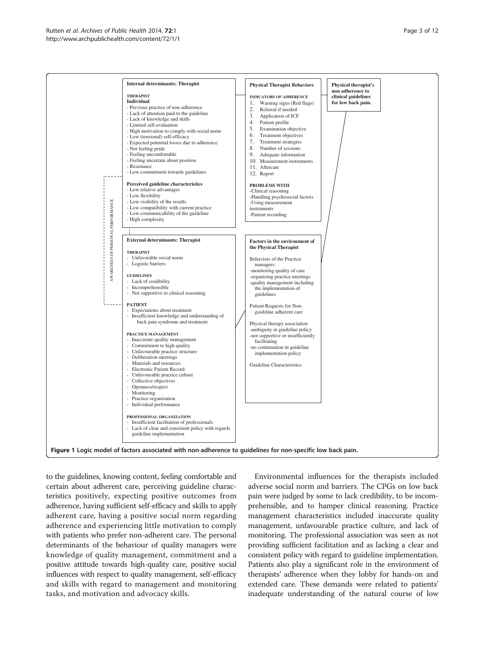<span id="page-2-0"></span>

to the guidelines, knowing content, feeling comfortable and certain about adherent care, perceiving guideline characteristics positively, expecting positive outcomes from adherence, having sufficient self-efficacy and skills to apply adherent care, having a positive social norm regarding adherence and experiencing little motivation to comply with patients who prefer non-adherent care. The personal determinants of the behaviour of quality managers were knowledge of quality management, commitment and a positive attitude towards high-quality care, positive social influences with respect to quality management, self-efficacy and skills with regard to management and monitoring tasks, and motivation and advocacy skills.

Environmental influences for the therapists included adverse social norm and barriers. The CPGs on low back pain were judged by some to lack credibility, to be incomprehensible, and to hamper clinical reasoning. Practice management characteristics included inaccurate quality management, unfavourable practice culture, and lack of monitoring. The professional association was seen as not providing sufficient facilitation and as lacking a clear and consistent policy with regard to guideline implementation. Patients also play a significant role in the environment of therapists' adherence when they lobby for hands-on and extended care. These demands were related to patients' inadequate understanding of the natural course of low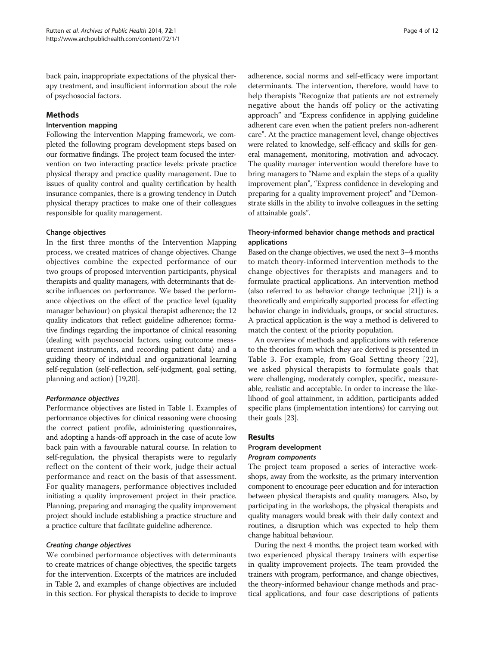back pain, inappropriate expectations of the physical therapy treatment, and insufficient information about the role of psychosocial factors.

# Methods

## Intervention mapping

Following the Intervention Mapping framework, we completed the following program development steps based on our formative findings. The project team focused the intervention on two interacting practice levels: private practice physical therapy and practice quality management. Due to issues of quality control and quality certification by health insurance companies, there is a growing tendency in Dutch physical therapy practices to make one of their colleagues responsible for quality management.

## Change objectives

In the first three months of the Intervention Mapping process, we created matrices of change objectives. Change objectives combine the expected performance of our two groups of proposed intervention participants, physical therapists and quality managers, with determinants that describe influences on performance. We based the performance objectives on the effect of the practice level (quality manager behaviour) on physical therapist adherence; the 12 quality indicators that reflect guideline adherence; formative findings regarding the importance of clinical reasoning (dealing with psychosocial factors, using outcome measurement instruments, and recording patient data) and a guiding theory of individual and organizational learning self-regulation (self-reflection, self-judgment, goal setting, planning and action) [\[19,20](#page-11-0)].

# Performance objectives

Performance objectives are listed in Table [1.](#page-4-0) Examples of performance objectives for clinical reasoning were choosing the correct patient profile, administering questionnaires, and adopting a hands-off approach in the case of acute low back pain with a favourable natural course. In relation to self-regulation, the physical therapists were to regularly reflect on the content of their work, judge their actual performance and react on the basis of that assessment. For quality managers, performance objectives included initiating a quality improvement project in their practice. Planning, preparing and managing the quality improvement project should include establishing a practice structure and a practice culture that facilitate guideline adherence.

# Creating change objectives

We combined performance objectives with determinants to create matrices of change objectives, the specific targets for the intervention. Excerpts of the matrices are included in Table [2,](#page-5-0) and examples of change objectives are included in this section. For physical therapists to decide to improve

adherence, social norms and self-efficacy were important determinants. The intervention, therefore, would have to help therapists "Recognize that patients are not extremely negative about the hands off policy or the activating approach" and "Express confidence in applying guideline adherent care even when the patient prefers non-adherent care". At the practice management level, change objectives were related to knowledge, self-efficacy and skills for general management, monitoring, motivation and advocacy. The quality manager intervention would therefore have to bring managers to "Name and explain the steps of a quality improvement plan", "Express confidence in developing and preparing for a quality improvement project" and "Demonstrate skills in the ability to involve colleagues in the setting of attainable goals".

# Theory-informed behavior change methods and practical applications

Based on the change objectives, we used the next 3–4 months to match theory-informed intervention methods to the change objectives for therapists and managers and to formulate practical applications. An intervention method (also referred to as behavior change technique [\[21\]](#page-11-0)) is a theoretically and empirically supported process for effecting behavior change in individuals, groups, or social structures. A practical application is the way a method is delivered to match the context of the priority population.

An overview of methods and applications with reference to the theories from which they are derived is presented in Table [3](#page-7-0). For example, from Goal Setting theory [[22](#page-11-0)], we asked physical therapists to formulate goals that were challenging, moderately complex, specific, measureable, realistic and acceptable. In order to increase the likelihood of goal attainment, in addition, participants added specific plans (implementation intentions) for carrying out their goals [[23\]](#page-11-0).

# Results

# Program development

## Program components

The project team proposed a series of interactive workshops, away from the worksite, as the primary intervention component to encourage peer education and for interaction between physical therapists and quality managers. Also, by participating in the workshops, the physical therapists and quality managers would break with their daily context and routines, a disruption which was expected to help them change habitual behaviour.

During the next 4 months, the project team worked with two experienced physical therapy trainers with expertise in quality improvement projects. The team provided the trainers with program, performance, and change objectives, the theory-informed behaviour change methods and practical applications, and four case descriptions of patients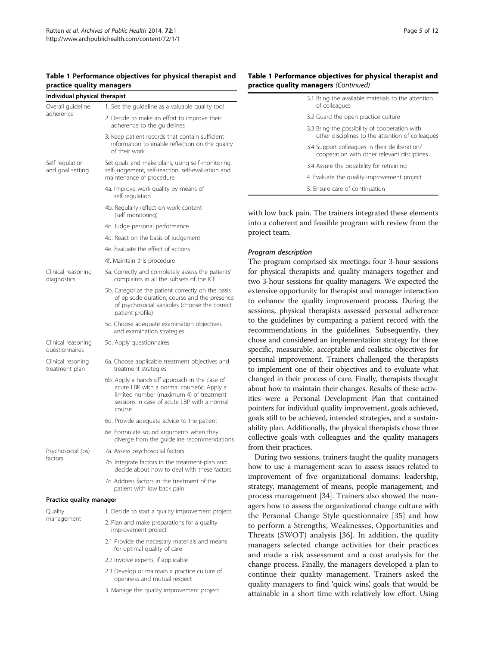## <span id="page-4-0"></span>Table 1 Performance objectives for physical therapist and practice quality managers

| Individual physical therapist        |                                                                                                                                                                                                |  |  |  |  |  |
|--------------------------------------|------------------------------------------------------------------------------------------------------------------------------------------------------------------------------------------------|--|--|--|--|--|
| Overall guideline                    | 1. See the guideline as a valuable quality tool                                                                                                                                                |  |  |  |  |  |
| adherence                            | 2. Decide to make an effort to improve their<br>adherence to the guidelines                                                                                                                    |  |  |  |  |  |
|                                      | 3. Keep patient records that contain sufficient<br>information to enable reflection on the quality<br>of their work                                                                            |  |  |  |  |  |
| Self regulation<br>and goal setting  | Set goals and make plans, using self-monitoring,<br>self-judgement, self-reaction, self-evaluation and<br>maintenance of procedure                                                             |  |  |  |  |  |
|                                      | 4a. Improve work quality by means of<br>self-requlation                                                                                                                                        |  |  |  |  |  |
|                                      | 4b. Regularly reflect on work content<br>(self monitoring)                                                                                                                                     |  |  |  |  |  |
|                                      | 4c. Judge personal performance                                                                                                                                                                 |  |  |  |  |  |
|                                      | 4d. React on the basis of judgement                                                                                                                                                            |  |  |  |  |  |
|                                      | 4e. Evaluate the effect of actions                                                                                                                                                             |  |  |  |  |  |
|                                      | 4f. Maintain this procedure                                                                                                                                                                    |  |  |  |  |  |
| Clinical reasoning<br>diagnostics    | 5a. Correctly and completely assess the patients'<br>complaints in all the subsets of the ICF                                                                                                  |  |  |  |  |  |
|                                      | 5b. Categorize the patient correctly on the basis<br>of episode duration, course and the presence<br>of psychosocial variables (choose the correct<br>patient profile)                         |  |  |  |  |  |
|                                      | 5c. Choose adequate examination objectives<br>and examination strategies                                                                                                                       |  |  |  |  |  |
| Clinical reasoning<br>questionnaires | 5d. Apply questionnaires                                                                                                                                                                       |  |  |  |  |  |
| Clinical resoning<br>treatment plan  | 6a. Choose applicable treatment objectives and<br>treatment strategies                                                                                                                         |  |  |  |  |  |
|                                      | 6b. Apply a hands off approach in the case of<br>acute LBP with a normal course6c. Apply a<br>limited number (maximum 4) of treatment<br>sessions in case of acute LBP with a normal<br>course |  |  |  |  |  |
|                                      | 6d. Provide adequate advice to the patient                                                                                                                                                     |  |  |  |  |  |
|                                      | 6e. Formulate sound arguments when they<br>diverge from the guideline recommendations                                                                                                          |  |  |  |  |  |
| Psychosocial (ps)                    | 7a. Assess psychosocial factors                                                                                                                                                                |  |  |  |  |  |
| factors                              | 7b. Integrate factors in the treatment-plan and<br>decide about how to deal with these factors                                                                                                 |  |  |  |  |  |
|                                      | 7c. Address factors in the treatment of the<br>patient with low back pain                                                                                                                      |  |  |  |  |  |
| Practice quality manager             |                                                                                                                                                                                                |  |  |  |  |  |
| Quality                              | 1. Decide to start a quality improvement project                                                                                                                                               |  |  |  |  |  |
| management                           | 2. Plan and make preparations for a quality<br>improvement project                                                                                                                             |  |  |  |  |  |
|                                      | 2.1 Provide the necessary materials and means<br>for optimal quality of care                                                                                                                   |  |  |  |  |  |
|                                      | 2.2 Involve experts, if applicable                                                                                                                                                             |  |  |  |  |  |
|                                      | 2.3 Develop or maintain a practice culture of<br>openness and mutual respect                                                                                                                   |  |  |  |  |  |

3. Manage the quality improvement project

## Table 1 Performance objectives for physical therapist and practice quality managers (Continued)

| 3.1 Bring the available materials to the attention<br>of colleagues                               |
|---------------------------------------------------------------------------------------------------|
| 3.2 Guard the open practice culture                                                               |
| 3.3 Bring the possibility of cooperation with<br>other disciplines to the attention of colleagues |
| 3.4 Support colleagues in their deliberation/<br>cooperation with other relevant disciplines      |
| 3.4 Assure the possibility for retraining                                                         |
| 4. Evaluate the quality improvement project                                                       |
| 5. Ensure care of continuation                                                                    |

with low back pain. The trainers integrated these elements into a coherent and feasible program with review from the project team.

#### Program description

The program comprised six meetings: four 3-hour sessions for physical therapists and quality managers together and two 3-hour sessions for quality managers. We expected the extensive opportunity for therapist and manager interaction to enhance the quality improvement process. During the sessions, physical therapists assessed personal adherence to the guidelines by comparing a patient record with the recommendations in the guidelines. Subsequently, they chose and considered an implementation strategy for three specific, measurable, acceptable and realistic objectives for personal improvement. Trainers challenged the therapists to implement one of their objectives and to evaluate what changed in their process of care. Finally, therapists thought about how to maintain their changes. Results of these activities were a Personal Development Plan that contained pointers for individual quality improvement, goals achieved, goals still to be achieved, intended strategies, and a sustainability plan. Additionally, the physical therapists chose three collective goals with colleagues and the quality managers from their practices.

During two sessions, trainers taught the quality managers how to use a management scan to assess issues related to improvement of five organizational domains: leadership, strategy, management of means, people management, and process management [\[34](#page-11-0)]. Trainers also showed the managers how to assess the organizational change culture with the Personal Change Style questionnaire [[35\]](#page-11-0) and how to perform a Strengths, Weaknesses, Opportunities and Threats (SWOT) analysis [\[36](#page-11-0)]. In addition, the quality managers selected change activities for their practices and made a risk assessment and a cost analysis for the change process. Finally, the managers developed a plan to continue their quality management. Trainers asked the quality managers to find 'quick wins', goals that would be attainable in a short time with relatively low effort. Using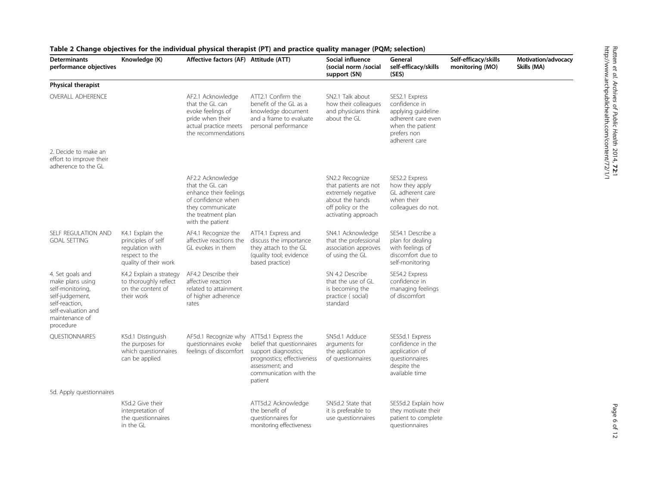| <b>Determinants</b><br>performance objectives                                                                                                       | Knowledge (K)                                                                                        | Affective factors (AF) Attitude (ATT)                                                                                                              |                                                                                                                                                                 | Social influence<br>(social norm /social<br>support (SN)                                                                      | General<br>self-efficacy/skills<br>(SES)                                                                                        | Self-efficacy/skills<br>monitoring (MO) | Motivation/advocacy<br>Skills (MA) |
|-----------------------------------------------------------------------------------------------------------------------------------------------------|------------------------------------------------------------------------------------------------------|----------------------------------------------------------------------------------------------------------------------------------------------------|-----------------------------------------------------------------------------------------------------------------------------------------------------------------|-------------------------------------------------------------------------------------------------------------------------------|---------------------------------------------------------------------------------------------------------------------------------|-----------------------------------------|------------------------------------|
| Physical therapist                                                                                                                                  |                                                                                                      |                                                                                                                                                    |                                                                                                                                                                 |                                                                                                                               |                                                                                                                                 |                                         |                                    |
| <b>OVERALL ADHERENCE</b>                                                                                                                            |                                                                                                      | AF2.1 Acknowledge<br>that the GL can<br>evoke feelings of<br>pride when their<br>actual practice meets<br>the recommendations                      | ATT2.1 Confirm the<br>benefit of the GL as a<br>knowledge document<br>and a frame to evaluate<br>personal performance                                           | SN2.1 Talk about<br>how their colleagues<br>and physicians think<br>about the GL                                              | SES2.1 Express<br>confidence in<br>applying guideline<br>adherent care even<br>when the patient<br>prefers non<br>adherent care |                                         |                                    |
| 2. Decide to make an<br>effort to improve their<br>adherence to the GL                                                                              |                                                                                                      |                                                                                                                                                    |                                                                                                                                                                 |                                                                                                                               |                                                                                                                                 |                                         |                                    |
|                                                                                                                                                     |                                                                                                      | AF2.2 Acknowledge<br>that the GL can<br>enhance their feelings<br>of confidence when<br>they communicate<br>the treatment plan<br>with the patient |                                                                                                                                                                 | SN2.2 Recognize<br>that patients are not<br>extremely negative<br>about the hands<br>off policy or the<br>activating approach | SES2.2 Express<br>how they apply<br>GL adherent care<br>when their<br>colleagues do not.                                        |                                         |                                    |
| SELF REGULATION AND<br><b>GOAL SETTING</b>                                                                                                          | K4.1 Explain the<br>principles of self<br>regulation with<br>respect to the<br>quality of their work | AF4.1 Recognize the<br>affective reactions the<br>GL evokes in them                                                                                | ATT4.1 Express and<br>discuss the importance<br>they attach to the GL<br>(quality tool; evidence<br>based practice)                                             | SN4.1 Acknowledge<br>that the professional<br>association approves<br>of using the GL                                         | SES4.1 Describe a<br>plan for dealing<br>with feelings of<br>discomfort due to<br>self-monitoring                               |                                         |                                    |
| 4. Set goals and<br>make plans using<br>self-monitoring,<br>self-judgement,<br>self-reaction,<br>self-evaluation and<br>maintenance of<br>procedure | K4.2 Explain a strategy<br>to thoroughly reflect<br>on the content of<br>their work                  | AF4.2 Describe their<br>affective reaction<br>related to attainment<br>of higher adherence<br>rates                                                |                                                                                                                                                                 | SN 4.2 Describe<br>that the use of GL<br>is becoming the<br>practice (social)<br>standard                                     | SES4.2 Express<br>confidence in<br>managing feelings<br>of discomfort                                                           |                                         |                                    |
| <b>OUESTIONNAIRES</b>                                                                                                                               | K5d.1 Distinguish<br>the purposes for<br>which questionnaires<br>can be applied                      | AF5d.1 Recognize why<br>questionnaires evoke<br>feelings of discomfort                                                                             | ATT5d.1 Express the<br>belief that questionnaires<br>support diagnostics;<br>prognostics; effectiveness<br>assessment; and<br>communication with the<br>patient | SN5d.1 Adduce<br>arguments for<br>the application<br>of questionnaires                                                        | SES5d.1 Express<br>confidence in the<br>application of<br>questionnaires<br>despite the<br>available time                       |                                         |                                    |
| 5d. Apply questionnaires                                                                                                                            |                                                                                                      |                                                                                                                                                    |                                                                                                                                                                 |                                                                                                                               |                                                                                                                                 |                                         |                                    |
|                                                                                                                                                     | K5d.2 Give their<br>interpretation of<br>the questionnaires<br>in the GL                             |                                                                                                                                                    | ATT5d.2 Acknowledge<br>the benefit of<br>questionnaires for<br>monitoring effectiveness                                                                         | SN5d.2 State that<br>it is preferable to<br>use questionnaires                                                                | SES5d.2 Explain how<br>they motivate their<br>patient to complete<br>questionnaires                                             |                                         |                                    |

# <span id="page-5-0"></span>Table 2 Change objectives for the individual physical therapist (PT) and practice quality manager (PQM; selection)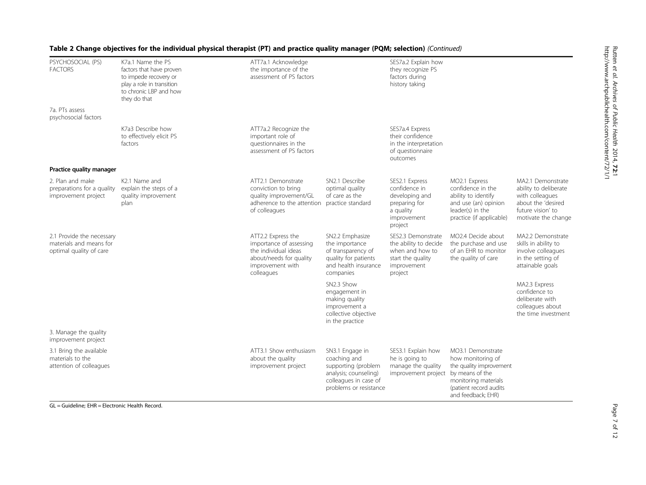| PSYCHOSOCIAL (PS)<br><b>FACTORS</b>                                             | K7a.1 Name the PS<br>factors that have proven<br>to impede recovery or<br>play a role in transition<br>to chronic LBP and how<br>they do that | ATT7a.1 Acknowledge<br>the importance of the<br>assessment of PS factors                                                           |                                                                                                                                    | SES7a.2 Explain how<br>they recognize PS<br>factors during<br>history taking                                  |                                                                                                                                                               |                                                                                                                                 |
|---------------------------------------------------------------------------------|-----------------------------------------------------------------------------------------------------------------------------------------------|------------------------------------------------------------------------------------------------------------------------------------|------------------------------------------------------------------------------------------------------------------------------------|---------------------------------------------------------------------------------------------------------------|---------------------------------------------------------------------------------------------------------------------------------------------------------------|---------------------------------------------------------------------------------------------------------------------------------|
| 7a. PTs assess<br>psychosocial factors                                          |                                                                                                                                               |                                                                                                                                    |                                                                                                                                    |                                                                                                               |                                                                                                                                                               |                                                                                                                                 |
|                                                                                 | K7a3 Describe how<br>to effectively elicit PS<br>factors                                                                                      | ATT7a.2 Recognize the<br>important role of<br>questionnaires in the<br>assessment of PS factors                                    |                                                                                                                                    | SES7a.4 Express<br>their confidence<br>in the interpretation<br>of questionnaire<br>outcomes                  |                                                                                                                                                               |                                                                                                                                 |
| Practice quality manager                                                        |                                                                                                                                               |                                                                                                                                    |                                                                                                                                    |                                                                                                               |                                                                                                                                                               |                                                                                                                                 |
| 2. Plan and make<br>preparations for a quality<br>improvement project           | K2.1 Name and<br>explain the steps of a<br>quality improvement<br>plan                                                                        | ATT2.1 Demonstrate<br>conviction to bring<br>quality improvement/GL<br>adherence to the attention<br>of colleagues                 | SN2.1 Describe<br>optimal quality<br>of care as the<br>practice standard                                                           | SES2.1 Express<br>confidence in<br>developing and<br>preparing for<br>a quality<br>improvement<br>project     | MO2.1 Express<br>confidence in the<br>ability to identify<br>and use (an) opinion<br>leader(s) in the<br>practice (if applicable)                             | MA2.1 Demonstrate<br>ability to deliberate<br>with colleagues<br>about the 'desired<br>future vision' to<br>motivate the change |
| 2.1 Provide the necessary<br>materials and means for<br>optimal quality of care |                                                                                                                                               | ATT2.2 Express the<br>importance of assessing<br>the individual ideas<br>about/needs for quality<br>improvement with<br>colleagues | SN2.2 Emphasize<br>the importance<br>of transparency of<br>quality for patients<br>and health insurance<br>companies               | SES2.3 Demonstrate<br>the ability to decide<br>when and how to<br>start the quality<br>improvement<br>project | MO2.4 Decide about<br>the purchase and use<br>of an EHR to monitor<br>the quality of care                                                                     | MA2.2 Demonstrate<br>skills in ability to<br>involve colleagues<br>in the setting of<br>attainable goals                        |
|                                                                                 |                                                                                                                                               |                                                                                                                                    | SN2.3 Show<br>engagement in<br>making quality<br>improvement a<br>collective objective<br>in the practice                          |                                                                                                               |                                                                                                                                                               | MA2.3 Express<br>confidence to<br>deliberate with<br>colleagues about<br>the time investment                                    |
| 3. Manage the quality<br>improvement project                                    |                                                                                                                                               |                                                                                                                                    |                                                                                                                                    |                                                                                                               |                                                                                                                                                               |                                                                                                                                 |
| 3.1 Bring the available<br>materials to the<br>attention of colleagues          |                                                                                                                                               | ATT3.1 Show enthusiasm<br>about the quality<br>improvement project                                                                 | SN3.1 Engage in<br>coaching and<br>supporting (problem<br>analysis; counseling)<br>colleagues in case of<br>problems or resistance | SES3.1 Explain how<br>he is going to<br>manage the quality<br>improvement project                             | MO3.1 Demonstrate<br>how monitoring of<br>the quality improvement<br>by means of the<br>monitoring materials<br>(patient record audits)<br>and feedback; EHR) |                                                                                                                                 |

# Table 2 Change objectives for the individual physical therapist (PT) and practice quality manager (PQM; selection) (Continued)

GL = Guideline; EHR = Electronic Health Record.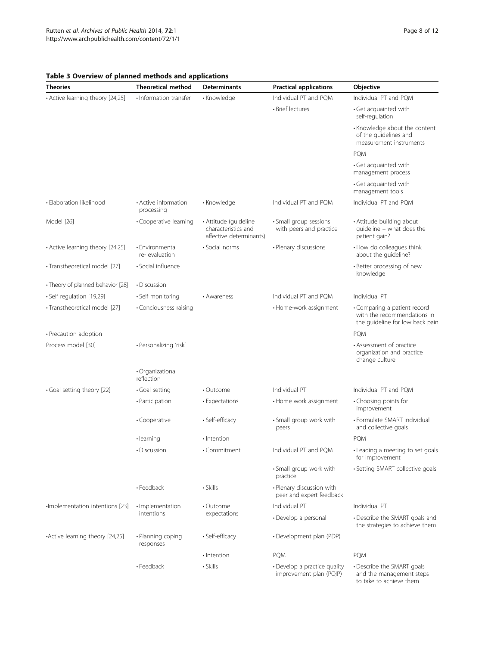| <b>Theories</b>                   | <b>Theoretical method</b>          | Determinants                                                            | <b>Practical applications</b>                           | <b>Objective</b>                                                                               |  |
|-----------------------------------|------------------------------------|-------------------------------------------------------------------------|---------------------------------------------------------|------------------------------------------------------------------------------------------------|--|
| • Active learning theory [24,25]  | • Information transfer             | • Knowledge                                                             | Individual PT and PQM                                   | Individual PT and PQM                                                                          |  |
|                                   |                                    |                                                                         | • Brief lectures                                        | · Get acquainted with<br>self-regulation                                                       |  |
|                                   |                                    |                                                                         |                                                         | • Knowledge about the content<br>of the guidelines and<br>measurement instruments              |  |
|                                   |                                    |                                                                         |                                                         | <b>PQM</b>                                                                                     |  |
|                                   |                                    |                                                                         |                                                         | · Get acquainted with<br>management process                                                    |  |
|                                   |                                    |                                                                         |                                                         | • Get acquainted with<br>management tools                                                      |  |
| · Elaboration likelihood          | • Active information<br>processing | • Knowledge                                                             | Individual PT and PQM                                   | Individual PT and PQM                                                                          |  |
| Model [26]                        | • Cooperative learning             | · Attitude (quideline<br>characteristics and<br>affective determinants) | · Small group sessions<br>with peers and practice       | • Attitude building about<br>quideline - what does the<br>patient gain?                        |  |
| • Active learning theory [24,25]  | · Environmental<br>re-evaluation   | · Social norms                                                          | • Plenary discussions                                   | • How do colleagues think<br>about the guideline?                                              |  |
| · Transtheoretical model [27]     | · Social influence                 |                                                                         |                                                         | • Better processing of new<br>knowledge                                                        |  |
| • Theory of planned behavior [28] | • Discussion                       |                                                                         |                                                         |                                                                                                |  |
| · Self regulation [19,29]         | • Self monitoring                  | • Awareness                                                             | Individual PT and POM                                   | Individual PT                                                                                  |  |
| · Transtheoretical model [27]     | • Conciousness raising             |                                                                         | • Home-work assignment                                  | • Comparing a patient record<br>with the recommendations in<br>the guideline for low back pain |  |
| • Precaution adoption             |                                    |                                                                         |                                                         | <b>PQM</b>                                                                                     |  |
| Process model [30]                | · Personalizing 'risk'             |                                                                         |                                                         | • Assessment of practice<br>organization and practice<br>change culture                        |  |
|                                   | · Organizational<br>reflection     |                                                                         |                                                         |                                                                                                |  |
| · Goal setting theory [22]        | · Goal setting                     | $\cdot$ Outcome                                                         | Individual PT                                           | Individual PT and POM                                                                          |  |
|                                   | • Participation                    | • Expectations                                                          | • Home work assignment                                  | • Choosing points for<br>improvement                                                           |  |
|                                   | · Cooperative                      | • Self-efficacy                                                         | · Small group work with<br>peers                        | • Formulate SMART individual<br>and collective goals                                           |  |
|                                   | • learning                         | · Intention                                                             |                                                         | <b>PQM</b>                                                                                     |  |
|                                   | • Discussion                       | • Commitment                                                            | Individual PT and PQM                                   | • Leading a meeting to set goals<br>for improvement                                            |  |
|                                   |                                    |                                                                         | • Small group work with<br>practice                     | • Setting SMART collective goals                                                               |  |
|                                   | • Feedback                         | $\cdot$ Skills                                                          | • Plenary discussion with<br>peer and expert feedback   |                                                                                                |  |
| ·Implementation intentions [23]   | · Implementation<br>intentions     | • Outcome<br>expectations                                               | Individual PT                                           | Individual PT                                                                                  |  |
|                                   |                                    |                                                                         | • Develop a personal                                    | • Describe the SMART goals and<br>the strategies to achieve them                               |  |
| •Active learning theory [24,25]   | · Planning coping<br>responses     | · Self-efficacy                                                         | • Development plan (PDP)                                |                                                                                                |  |
|                                   |                                    | · Intention                                                             | <b>PQM</b>                                              | PQM                                                                                            |  |
|                                   | • Feedback                         | · Skills                                                                | • Develop a practice quality<br>improvement plan (PQIP) | • Describe the SMART goals<br>and the management steps<br>to take to achieve them              |  |

# <span id="page-7-0"></span>Table 3 Overview of planned methods and applications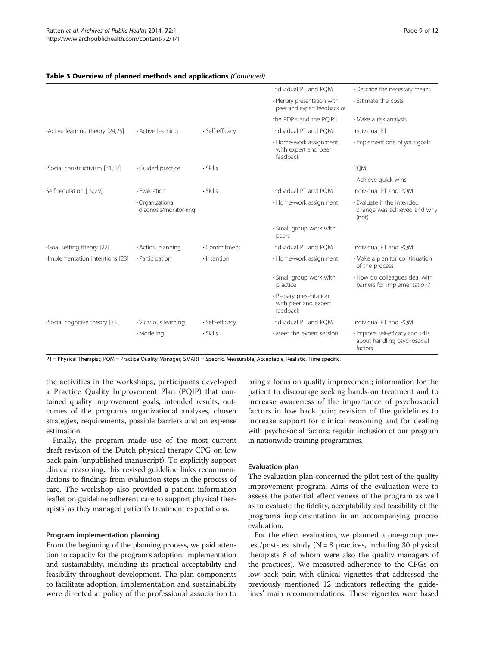|                                 |                                            |                 | Individual PT and POM                                      | • Describe the necessary means                                               |
|---------------------------------|--------------------------------------------|-----------------|------------------------------------------------------------|------------------------------------------------------------------------------|
|                                 |                                            |                 | • Plenary presentation with<br>peer and expert feedback of | • Estimate the costs                                                         |
|                                 |                                            |                 | the PDP's and the POIP's                                   | • Make a risk analysis                                                       |
| •Active learning theory [24,25] | • Active learning                          | • Self-efficacy | Individual PT and PQM                                      | Individual PT                                                                |
|                                 |                                            |                 | • Home-work assignment<br>with expert and peer<br>feedback | · Implement one of your goals                                                |
| •Social constructivism [31,32]  | · Guided practice                          | $\cdot$ Skills  |                                                            | <b>PQM</b>                                                                   |
|                                 |                                            |                 |                                                            | • Achieve quick wins                                                         |
| Self regulation [19,29]         | • Evaluation                               | $\cdot$ Skills  | Individual PT and POM                                      | Individual PT and PQM                                                        |
|                                 | · Organizational<br>diagnosis/monitor-ring |                 | • Home-work assignment                                     | • Evaluate if the intended<br>change was achieved and why<br>(not)           |
|                                 |                                            |                 | · Small group work with<br>peers                           |                                                                              |
| .Goal setting theory [22]       | • Action planning                          | · Commitment    | Individual PT and PQM                                      | Individual PT and PQM                                                        |
| -Implementation intentions [23] | • Participation                            | · Intention     | • Home-work assignment                                     | • Make a plan for continuation<br>of the process                             |
|                                 |                                            |                 | · Small group work with<br>practice                        | • How do colleagues deal with<br>barriers for implementation?                |
|                                 |                                            |                 | · Plenary presentation<br>with peer and expert<br>feedback |                                                                              |
| •Social cognitive theory [33]   | • Vicarious learning                       | · Self-efficacy | Individual PT and POM                                      | Individual PT and PQM                                                        |
|                                 | • Modeling                                 | · Skills        | • Meet the expert session                                  | · Improve self-efficacy and skills<br>about handling psychosocial<br>factors |

# Table 3 Overview of planned methods and applications (Continued)

PT = Physical Therapist; PQM = Practice Quality Manager; SMART = Specific, Measurable, Acceptable, Realistic, Time specific.

the activities in the workshops, participants developed a Practice Quality Improvement Plan (PQIP) that contained quality improvement goals, intended results, outcomes of the program's organizational analyses, chosen strategies, requirements, possible barriers and an expense estimation.

Finally, the program made use of the most current draft revision of the Dutch physical therapy CPG on low back pain (unpublished manuscript). To explicitly support clinical reasoning, this revised guideline links recommendations to findings from evaluation steps in the process of care. The workshop also provided a patient information leaflet on guideline adherent care to support physical therapists' as they managed patient's treatment expectations.

#### Program implementation planning

From the beginning of the planning process, we paid attention to capacity for the program's adoption, implementation and sustainability, including its practical acceptability and feasibility throughout development. The plan components to facilitate adoption, implementation and sustainability were directed at policy of the professional association to bring a focus on quality improvement; information for the patient to discourage seeking hands-on treatment and to increase awareness of the importance of psychosocial factors in low back pain; revision of the guidelines to increase support for clinical reasoning and for dealing with psychosocial factors; regular inclusion of our program in nationwide training programmes.

#### Evaluation plan

The evaluation plan concerned the pilot test of the quality improvement program. Aims of the evaluation were to assess the potential effectiveness of the program as well as to evaluate the fidelity, acceptability and feasibility of the program's implementation in an accompanying process evaluation.

For the effect evaluation, we planned a one-group pretest/post-test study  $(N = 8$  practices, including 30 physical therapists 8 of whom were also the quality managers of the practices). We measured adherence to the CPGs on low back pain with clinical vignettes that addressed the previously mentioned 12 indicators reflecting the guidelines' main recommendations. These vignettes were based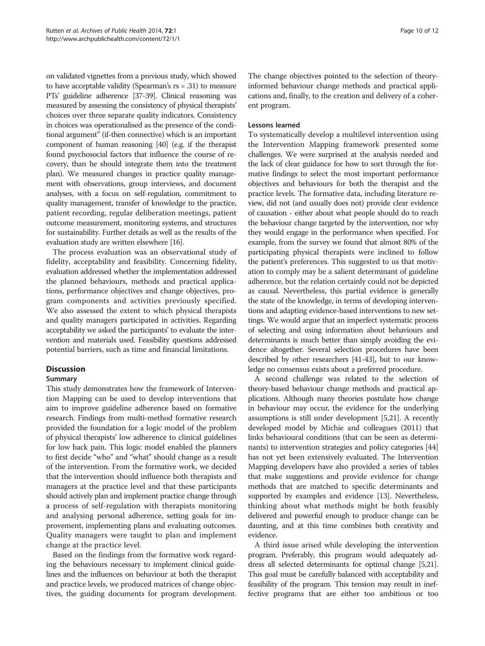on validated vignettes from a previous study, which showed to have acceptable validity (Spearman's  $rs = .31$ ) to measure PTs' guideline adherence [\[37](#page-11-0)-[39\]](#page-11-0). Clinical reasoning was measured by assessing the consistency of physical therapists' choices over three separate quality indicators. Consistency in choices was operationalised as the presence of the conditional argument" (if-then connective) which is an important component of human reasoning [\[40\]](#page-11-0) (e.g. if the therapist found psychosocial factors that influence the course of recovery, than he should integrate them into the treatment plan). We measured changes in practice quality management with observations, group interviews, and document analyses, with a focus on self-regulation, commitment to quality management, transfer of knowledge to the practice, patient recording, regular deliberation meetings, patient outcome measurement, monitoring systems, and structures for sustainability. Further details as well as the results of the evaluation study are written elsewhere [[16](#page-11-0)].

The process evaluation was an observational study of fidelity, acceptability and feasibility. Concerning fidelity, evaluation addressed whether the implementation addressed the planned behaviours, methods and practical applications, performance objectives and change objectives, program components and activities previously specified. We also assessed the extent to which physical therapists and quality managers participated in activities. Regarding acceptability we asked the participants' to evaluate the intervention and materials used. Feasibility questions addressed potential barriers, such as time and financial limitations.

## Discussion

## Summary

This study demonstrates how the framework of Intervention Mapping can be used to develop interventions that aim to improve guideline adherence based on formative research. Findings from multi-method formative research provided the foundation for a logic model of the problem of physical therapists' low adherence to clinical guidelines for low back pain. This logic model enabled the planners to first decide "who" and "what" should change as a result of the intervention. From the formative work, we decided that the intervention should influence both therapists and managers at the practice level and that these participants should actively plan and implement practice change through a process of self-regulation with therapists monitoring and analysing personal adherence, setting goals for improvement, implementing plans and evaluating outcomes. Quality managers were taught to plan and implement change at the practice level.

Based on the findings from the formative work regarding the behaviours necessary to implement clinical guidelines and the influences on behaviour at both the therapist and practice levels, we produced matrices of change objectives, the guiding documents for program development.

The change objectives pointed to the selection of theoryinformed behaviour change methods and practical applications and, finally, to the creation and delivery of a coherent program.

#### Lessons learned

To systematically develop a multilevel intervention using the Intervention Mapping framework presented some challenges. We were surprised at the analysis needed and the lack of clear guidance for how to sort through the formative findings to select the most important performance objectives and behaviours for both the therapist and the practice levels. The formative data, including literature review, did not (and usually does not) provide clear evidence of causation - either about what people should do to reach the behaviour change targeted by the intervention, nor why they would engage in the performance when specified. For example, from the survey we found that almost 80% of the participating physical therapists were inclined to follow the patient's preferences. This suggested to us that motivation to comply may be a salient determinant of guideline adherence, but the relation certainly could not be depicted as causal. Nevertheless, this partial evidence is generally the state of the knowledge, in terms of developing interventions and adapting evidence-based interventions to new settings. We would argue that an imperfect systematic process of selecting and using information about behaviours and determinants is much better than simply avoiding the evidence altogether. Several selection procedures have been described by other researchers [\[41-43](#page-11-0)], but to our knowledge no consensus exists about a preferred procedure.

A second challenge was related to the selection of theory-based behaviour change methods and practical applications. Although many theories postulate how change in behaviour may occur, the evidence for the underlying assumptions is still under development [\[5,21\]](#page-11-0). A recently developed model by Michie and colleagues (2011) that links behavioural conditions (that can be seen as determinants) to intervention strategies and policy categories [[44](#page-11-0)] has not yet been extensively evaluated. The Intervention Mapping developers have also provided a series of tables that make suggestions and provide evidence for change methods that are matched to specific determinants and supported by examples and evidence [\[13\]](#page-11-0). Nevertheless, thinking about what methods might be both feasibly delivered and powerful enough to produce change can be daunting, and at this time combines both creativity and evidence.

A third issue arised while developing the intervention program. Preferably, this program would adequately address all selected determinants for optimal change [\[5,21](#page-11-0)]. This goal must be carefully balanced with acceptability and feasibility of the program. This tension may result in ineffective programs that are either too ambitious or too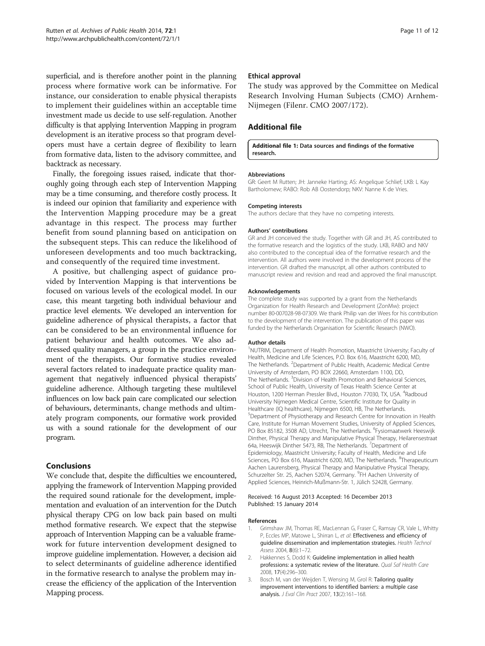<span id="page-10-0"></span>superficial, and is therefore another point in the planning process where formative work can be informative. For instance, our consideration to enable physical therapists to implement their guidelines within an acceptable time investment made us decide to use self-regulation. Another difficulty is that applying Intervention Mapping in program development is an iterative process so that program developers must have a certain degree of flexibility to learn from formative data, listen to the advisory committee, and backtrack as necessary.

Finally, the foregoing issues raised, indicate that thoroughly going through each step of Intervention Mapping may be a time consuming, and therefore costly process. It is indeed our opinion that familiarity and experience with the Intervention Mapping procedure may be a great advantage in this respect. The process may further benefit from sound planning based on anticipation on the subsequent steps. This can reduce the likelihood of unforeseen developments and too much backtracking, and consequently of the required time investment.

A positive, but challenging aspect of guidance provided by Intervention Mapping is that interventions be focused on various levels of the ecological model. In our case, this meant targeting both individual behaviour and practice level elements. We developed an intervention for guideline adherence of physical therapists, a factor that can be considered to be an environmental influence for patient behaviour and health outcomes. We also addressed quality managers, a group in the practice environment of the therapists. Our formative studies revealed several factors related to inadequate practice quality management that negatively influenced physical therapists' guideline adherence. Although targeting these multilevel influences on low back pain care complicated our selection of behaviours, determinants, change methods and ultimately program components, our formative work provided us with a sound rationale for the development of our program.

## Conclusions

We conclude that, despite the difficulties we encountered, applying the framework of Intervention Mapping provided the required sound rationale for the development, implementation and evaluation of an intervention for the Dutch physical therapy CPG on low back pain based on multi method formative research. We expect that the stepwise approach of Intervention Mapping can be a valuable framework for future intervention development designed to improve guideline implementation. However, a decision aid to select determinants of guideline adherence identified in the formative research to analyse the problem may increase the efficiency of the application of the Intervention Mapping process.

#### Ethical approval

The study was approved by the Committee on Medical Research Involving Human Subjects (CMO) Arnhem-Nijmegen (Filenr. CMO 2007/172).

# Additional file

#### [Additional file 1:](http://www.biomedcentral.com/content/supplementary/2049-3258-72-1-S1.doc) Data sources and findings of the formative research.

#### Abbreviations

GR: Geert M Rutten; JH: Janneke Harting; AS: Angelique Schlief; LKB: L Kay Bartholomew; RABO: Rob AB Oostendorp; NKV: Nanne K de Vries.

#### Competing interests

The authors declare that they have no competing interests.

#### Authors' contributions

GR and JH conceived the study. Together with GR and JH, AS contributed to the formative research and the logistics of the study. LKB, RABO and NKV also contributed to the conceptual idea of the formative research and the intervention. All authors were involved in the development process of the intervention. GR drafted the manuscript, all other authors contributed to manuscript review and revision and read and approved the final manuscript.

#### Acknowledgements

The complete study was supported by a grant from the Netherlands Organization for Health Research and Development (ZonMw): project number 80-007028-98-07309. We thank Philip van der Wees for his contribution to the development of the intervention. The publication of this paper was funded by the Netherlands Organisation for Scientific Research (NWO).

#### Author details

<sup>1</sup>NUTRIM, Department of Health Promotion, Maastricht University; Faculty of Health, Medicine and Life Sciences, P.O. Box 616, Maastricht 6200, MD, The Netherlands. <sup>2</sup>Department of Public Health, Academic Medical Centre University of Amsterdam, PO BOX 22660, Amsterdam 1100, DD, The Netherlands. <sup>3</sup>Division of Health Promotion and Behavioral Sciences School of Public Health, University of Texas Health Science Center at Houston, 1200 Herman Pressler Blvd., Houston 77030, TX, USA. <sup>4</sup>Radboud University Nijmegen Medical Centre, Scientific Institute for Quality in Healthcare (IQ healthcare), Nijmegen 6500, HB, The Netherlands. 5 Department of Physiotherapy and Research Centre for Innovation in Health Care, Institute for Human Movement Studies, University of Applied Sciences, PO Box 85182, 3508 AD, Utrecht, The Netherlands. <sup>6</sup>Fysiomaatwerk Heeswijk Dinther, Physical Therapy and Manipulative Physical Therapy, Heilarensestraat 64a, Heeswijk Dinther 5473, RB, The Netherlands. <sup>7</sup>Department of Epidemiology, Maastricht University; Faculty of Health, Medicine and Life Sciences, PO Box 616, Maastricht 6200, MD, The Netherlands. <sup>8</sup>Therapeuticum Aachen Laurensberg, Physical Therapy and Manipulative Physical Therapy, Schurzelter Str. 25, Aachen 52074, Germany. <sup>9</sup>FH Aachen University of Applied Sciences, Heinrich-Mußmann-Str. 1, Jülich 52428, Germany.

#### Received: 16 August 2013 Accepted: 16 December 2013 Published: 15 January 2014

#### References

- 1. Grimshaw JM, Thomas RE, MacLennan G, Fraser C, Ramsay CR, Vale L, Whitty P, Eccles MP, Matowe L, Shirran L, et al: Effectiveness and efficiency of guideline dissemination and implementation strategies. Health Technol Assess 2004, 8(6):1-72.
- 2. Hakkennes S, Dodd K: Guideline implementation in allied health professions: a systematic review of the literature. Qual Saf Health Care 2008, 17(4):296–300.
- 3. Bosch M, van der Weijden T, Wensing M, Grol R: Tailoring quality improvement interventions to identified barriers: a multiple case analysis. J Eval Clin Pract 2007, 13(2):161–168.